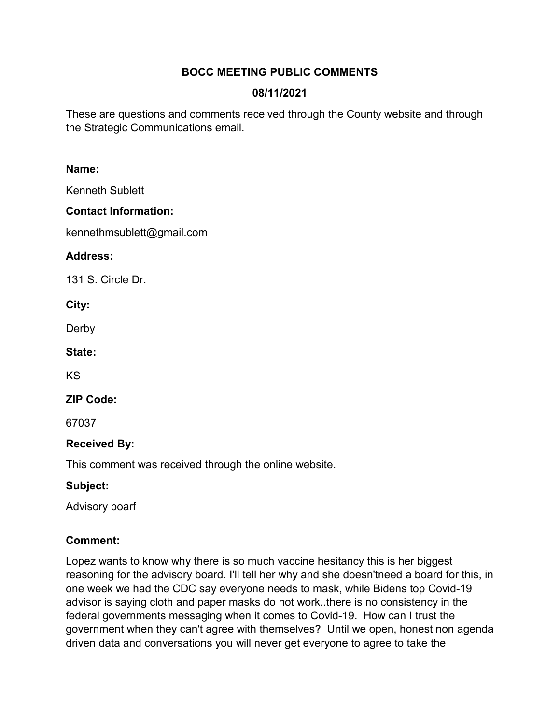# **BOCC MEETING PUBLIC COMMENTS**

# **08/11/2021**

These are questions and comments received through the County website and through the Strategic Communications email.

#### **Name:**

Kenneth Sublett

## **Contact Information:**

kennethmsublett@gmail.com

#### **Address:**

131 S. Circle Dr.

**City:** 

Derby

**State:** 

KS

**ZIP Code:** 

67037

## **Received By:**

This comment was received through the online website.

## **Subject:**

Advisory boarf

## **Comment:**

Lopez wants to know why there is so much vaccine hesitancy this is her biggest reasoning for the advisory board. I'll tell her why and she doesn'tneed a board for this, in one week we had the CDC say everyone needs to mask, while Bidens top Covid-19 advisor is saying cloth and paper masks do not work..there is no consistency in the federal governments messaging when it comes to Covid-19. How can I trust the government when they can't agree with themselves? Until we open, honest non agenda driven data and conversations you will never get everyone to agree to take the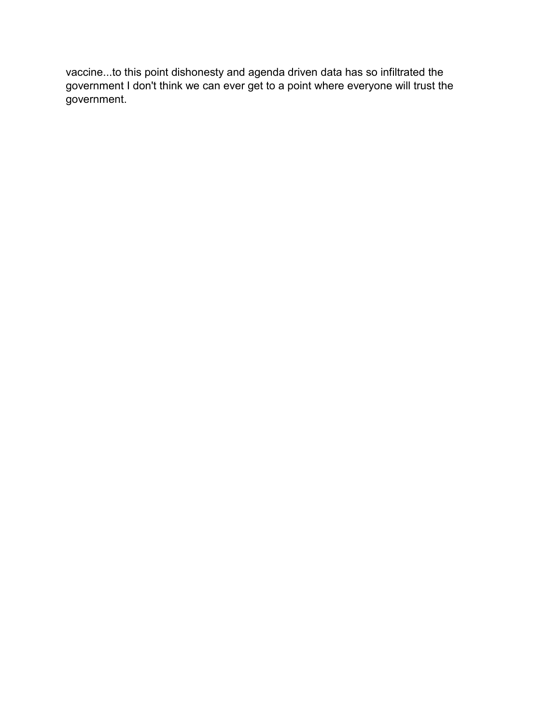vaccine...to this point dishonesty and agenda driven data has so infiltrated the government I don't think we can ever get to a point where everyone will trust the government.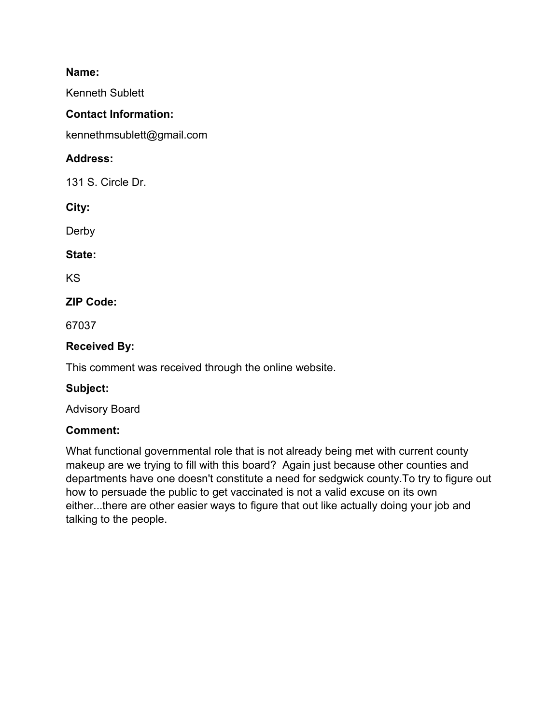Kenneth Sublett

## **Contact Information:**

kennethmsublett@gmail.com

# **Address:**

131 S. Circle Dr.

**City:** 

Derby

**State:** 

KS

# **ZIP Code:**

67037

# **Received By:**

This comment was received through the online website.

## **Subject:**

Advisory Board

## **Comment:**

What functional governmental role that is not already being met with current county makeup are we trying to fill with this board? Again just because other counties and departments have one doesn't constitute a need for sedgwick county.To try to figure out how to persuade the public to get vaccinated is not a valid excuse on its own either...there are other easier ways to figure that out like actually doing your job and talking to the people.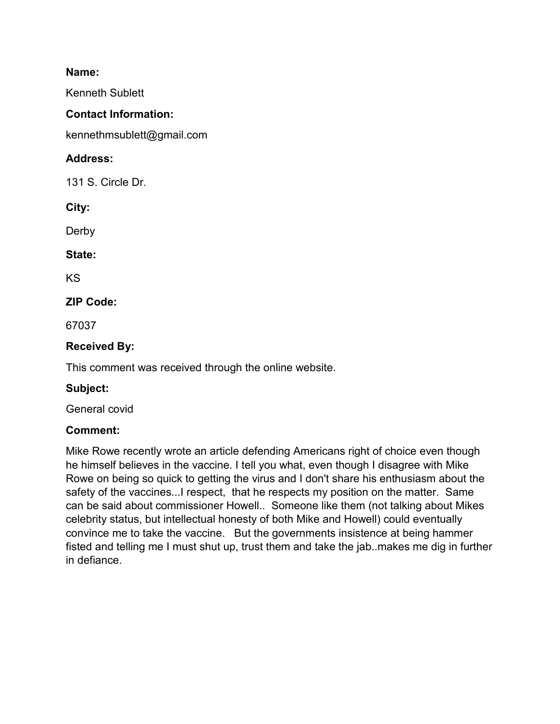Kenneth Sublett

## **Contact Information:**

kennethmsublett@gmail.com

# **Address:**

131 S. Circle Dr.

**City:** 

Derby

**State:** 

KS

# **ZIP Code:**

67037

# **Received By:**

This comment was received through the online website.

## **Subject:**

General covid

## **Comment:**

Mike Rowe recently wrote an article defending Americans right of choice even though he himself believes in the vaccine. I tell you what, even though I disagree with Mike Rowe on being so quick to getting the virus and I don't share his enthusiasm about the safety of the vaccines...I respect, that he respects my position on the matter. Same can be said about commissioner Howell.. Someone like them (not talking about Mikes celebrity status, but intellectual honesty of both Mike and Howell) could eventually convince me to take the vaccine. But the governments insistence at being hammer fisted and telling me I must shut up, trust them and take the jab..makes me dig in further in defiance.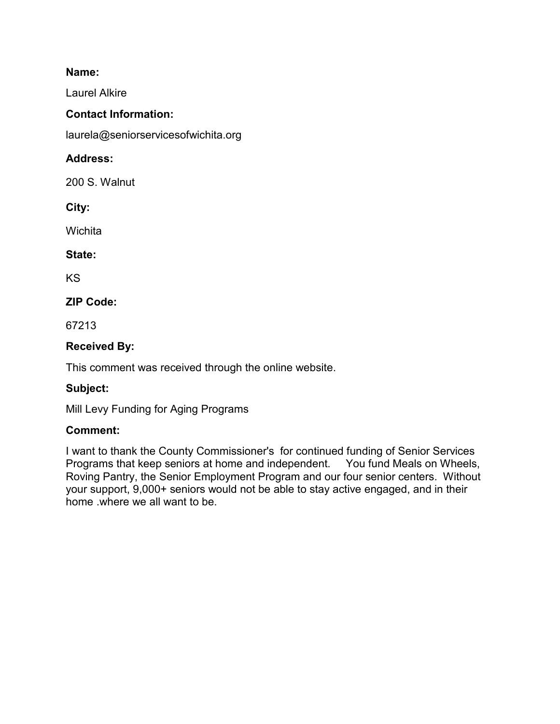Laurel Alkire

## **Contact Information:**

laurela@seniorservicesofwichita.org

# **Address:**

200 S. Walnut

**City:** 

**Wichita** 

## **State:**

KS

# **ZIP Code:**

67213

# **Received By:**

This comment was received through the online website.

## **Subject:**

Mill Levy Funding for Aging Programs

## **Comment:**

I want to thank the County Commissioner's for continued funding of Senior Services Programs that keep seniors at home and independent. You fund Meals on Wheels, Roving Pantry, the Senior Employment Program and our four senior centers. Without your support, 9,000+ seniors would not be able to stay active engaged, and in their home .where we all want to be.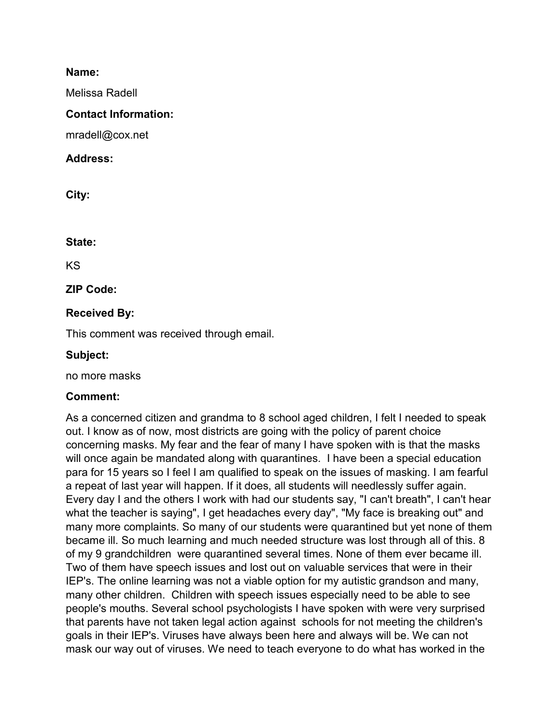Melissa Radell

#### **Contact Information:**

mradell@cox.net

#### **Address:**

**City:** 

#### **State:**

KS

**ZIP Code:** 

## **Received By:**

This comment was received through email.

#### **Subject:**

no more masks

## **Comment:**

As a concerned citizen and grandma to 8 school aged children, I felt I needed to speak out. I know as of now, most districts are going with the policy of parent choice concerning masks. My fear and the fear of many I have spoken with is that the masks will once again be mandated along with quarantines. I have been a special education para for 15 years so I feel I am qualified to speak on the issues of masking. I am fearful a repeat of last year will happen. If it does, all students will needlessly suffer again. Every day I and the others I work with had our students say, "I can't breath", I can't hear what the teacher is saying", I get headaches every day", "My face is breaking out" and many more complaints. So many of our students were quarantined but yet none of them became ill. So much learning and much needed structure was lost through all of this. 8 of my 9 grandchildren were quarantined several times. None of them ever became ill. Two of them have speech issues and lost out on valuable services that were in their IEP's. The online learning was not a viable option for my autistic grandson and many, many other children. Children with speech issues especially need to be able to see people's mouths. Several school psychologists I have spoken with were very surprised that parents have not taken legal action against schools for not meeting the children's goals in their IEP's. Viruses have always been here and always will be. We can not mask our way out of viruses. We need to teach everyone to do what has worked in the